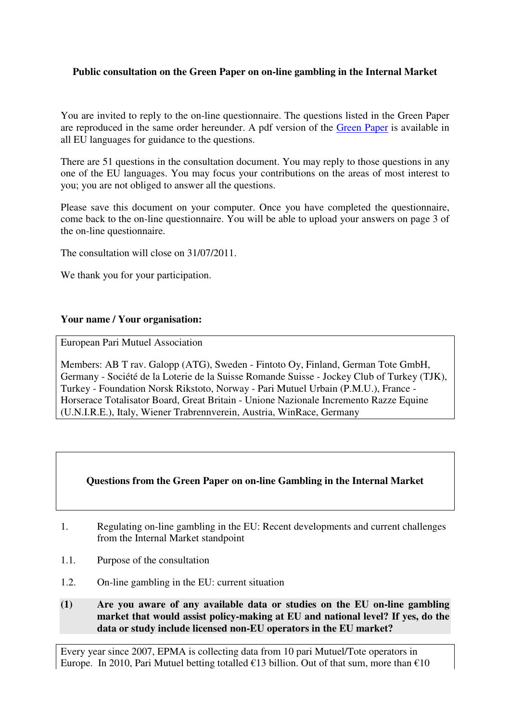# **Public consultation on the Green Paper on on-line gambling in the Internal Market**

You are invited to reply to the on-line questionnaire. The questions listed in the Green Paper are reproduced in the same order hereunder. A pdf version of the Green Paper is available in all EU languages for guidance to the questions.

There are 51 questions in the consultation document. You may reply to those questions in any one of the EU languages. You may focus your contributions on the areas of most interest to you; you are not obliged to answer all the questions.

Please save this document on your computer. Once you have completed the questionnaire, come back to the on-line questionnaire. You will be able to upload your answers on page 3 of the on-line questionnaire.

The consultation will close on 31/07/2011.

We thank you for your participation.

## **Your name / Your organisation:**

European Pari Mutuel Association

Members: AB T rav. Galopp (ATG), Sweden - Fintoto Oy, Finland, German Tote GmbH, Germany - Société de la Loterie de la Suisse Romande Suisse - Jockey Club of Turkey (TJK), Turkey - Foundation Norsk Rikstoto, Norway - Pari Mutuel Urbain (P.M.U.), France - Horserace Totalisator Board, Great Britain - Unione Nazionale Incremento Razze Equine (U.N.I.R.E.), Italy, Wiener Trabrennverein, Austria, WinRace, Germany

# **Questions from the Green Paper on on-line Gambling in the Internal Market**

- 1. Regulating on-line gambling in the EU: Recent developments and current challenges from the Internal Market standpoint
- 1.1*.* Purpose of the consultation
- 1.2. On-line gambling in the EU: current situation
- **(1) Are you aware of any available data or studies on the EU on-line gambling market that would assist policy-making at EU and national level? If yes, do the data or study include licensed non-EU operators in the EU market?**

Every year since 2007, EPMA is collecting data from 10 pari Mutuel/Tote operators in Europe. In 2010, Pari Mutuel betting totalled  $\epsilon$ 13 billion. Out of that sum, more than  $\epsilon$ 10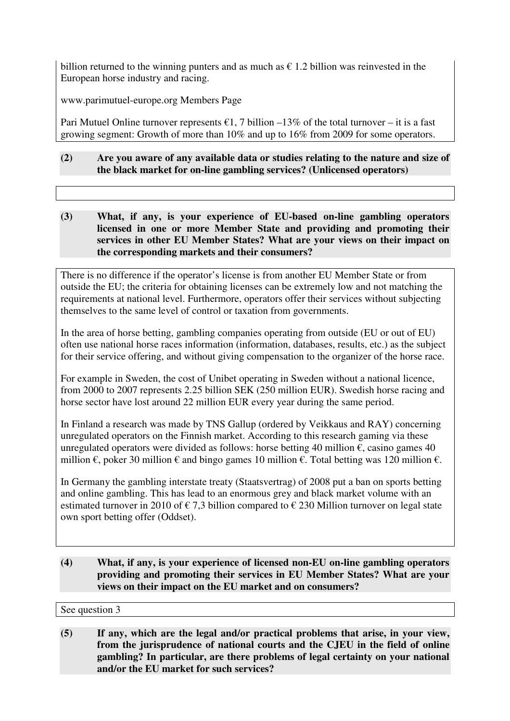billion returned to the winning punters and as much as  $\epsilon$  1.2 billion was reinvested in the European horse industry and racing.

www.parimutuel-europe.org Members Page

Pari Mutuel Online turnover represents  $\epsilon$ 1, 7 billion –13% of the total turnover – it is a fast growing segment: Growth of more than 10% and up to 16% from 2009 for some operators.

# **(2) Are you aware of any available data or studies relating to the nature and size of the black market for on-line gambling services? (Unlicensed operators)**

**(3) What, if any, is your experience of EU-based on-line gambling operators licensed in one or more Member State and providing and promoting their services in other EU Member States? What are your views on their impact on the corresponding markets and their consumers?** 

There is no difference if the operator's license is from another EU Member State or from outside the EU; the criteria for obtaining licenses can be extremely low and not matching the requirements at national level. Furthermore, operators offer their services without subjecting themselves to the same level of control or taxation from governments.

In the area of horse betting, gambling companies operating from outside (EU or out of EU) often use national horse races information (information, databases, results, etc.) as the subject for their service offering, and without giving compensation to the organizer of the horse race.

For example in Sweden, the cost of Unibet operating in Sweden without a national licence, from 2000 to 2007 represents 2.25 billion SEK (250 million EUR). Swedish horse racing and horse sector have lost around 22 million EUR every year during the same period.

In Finland a research was made by TNS Gallup (ordered by Veikkaus and RAY) concerning unregulated operators on the Finnish market. According to this research gaming via these unregulated operators were divided as follows: horse betting 40 million  $\epsilon$ , casino games 40 million  $\epsilon$ , poker 30 million  $\epsilon$  and bingo games 10 million  $\epsilon$ . Total betting was 120 million  $\epsilon$ .

In Germany the gambling interstate treaty (Staatsvertrag) of 2008 put a ban on sports betting and online gambling. This has lead to an enormous grey and black market volume with an estimated turnover in 2010 of  $\epsilon$  7,3 billion compared to  $\epsilon$  230 Million turnover on legal state own sport betting offer (Oddset).

**(4) What, if any, is your experience of licensed non-EU on-line gambling operators providing and promoting their services in EU Member States? What are your views on their impact on the EU market and on consumers?** 

See question 3

**(5) If any, which are the legal and/or practical problems that arise, in your view, from the jurisprudence of national courts and the CJEU in the field of online gambling? In particular, are there problems of legal certainty on your national and/or the EU market for such services?**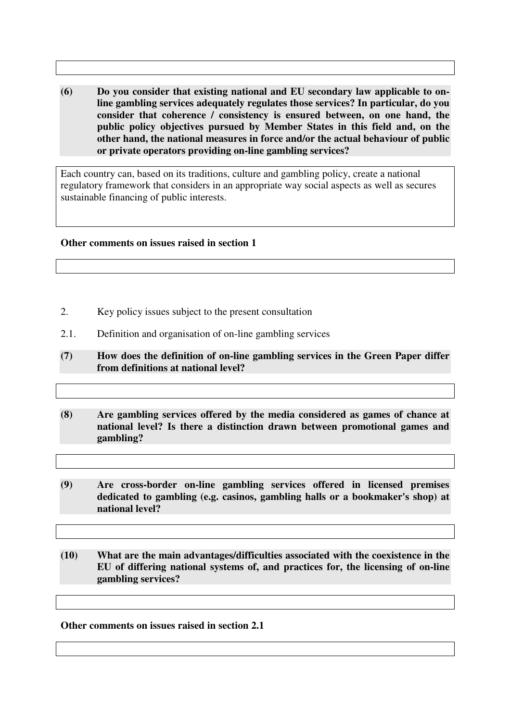**(6) Do you consider that existing national and EU secondary law applicable to online gambling services adequately regulates those services? In particular, do you consider that coherence / consistency is ensured between, on one hand, the public policy objectives pursued by Member States in this field and, on the other hand, the national measures in force and/or the actual behaviour of public or private operators providing on-line gambling services?** 

Each country can, based on its traditions, culture and gambling policy, create a national regulatory framework that considers in an appropriate way social aspects as well as secures sustainable financing of public interests.

### **Other comments on issues raised in section 1**

- 2. Key policy issues subject to the present consultation
- 2.1. Definition and organisation of on-line gambling services
- **(7) How does the definition of on-line gambling services in the Green Paper differ from definitions at national level?**
- **(8) Are gambling services offered by the media considered as games of chance at national level? Is there a distinction drawn between promotional games and gambling?**
- **(9) Are cross-border on-line gambling services offered in licensed premises dedicated to gambling (e.g. casinos, gambling halls or a bookmaker's shop) at national level?**
- **(10) What are the main advantages/difficulties associated with the coexistence in the EU of differing national systems of, and practices for, the licensing of on-line gambling services?**

#### **Other comments on issues raised in section 2.1**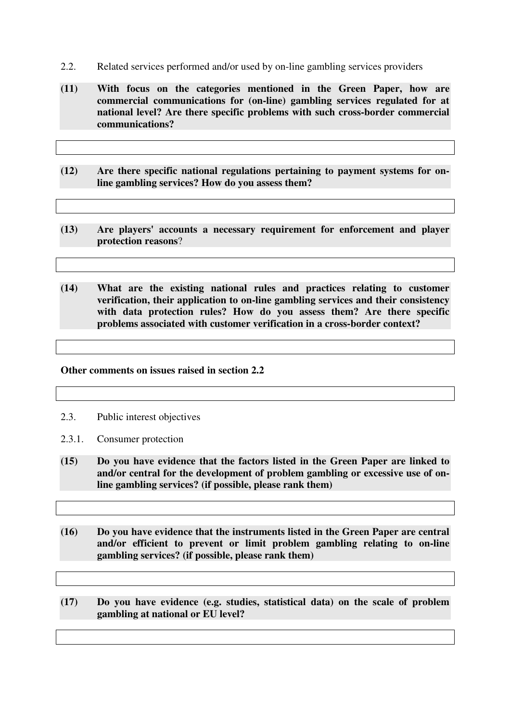- 2.2. Related services performed and/or used by on-line gambling services providers
- **(11) With focus on the categories mentioned in the Green Paper, how are commercial communications for (on-line) gambling services regulated for at national level? Are there specific problems with such cross-border commercial communications?**
- **(12) Are there specific national regulations pertaining to payment systems for online gambling services? How do you assess them?**
- **(13) Are players' accounts a necessary requirement for enforcement and player protection reasons**?
- **(14) What are the existing national rules and practices relating to customer verification, their application to on-line gambling services and their consistency with data protection rules? How do you assess them? Are there specific problems associated with customer verification in a cross-border context?**

#### **Other comments on issues raised in section 2.2**

2.3. Public interest objectives

- 2.3.1. Consumer protection
- **(15) Do you have evidence that the factors listed in the Green Paper are linked to and/or central for the development of problem gambling or excessive use of online gambling services? (if possible, please rank them)**
- **(16) Do you have evidence that the instruments listed in the Green Paper are central and/or efficient to prevent or limit problem gambling relating to on-line gambling services? (if possible, please rank them)**
- **(17) Do you have evidence (e.g. studies, statistical data) on the scale of problem gambling at national or EU level?**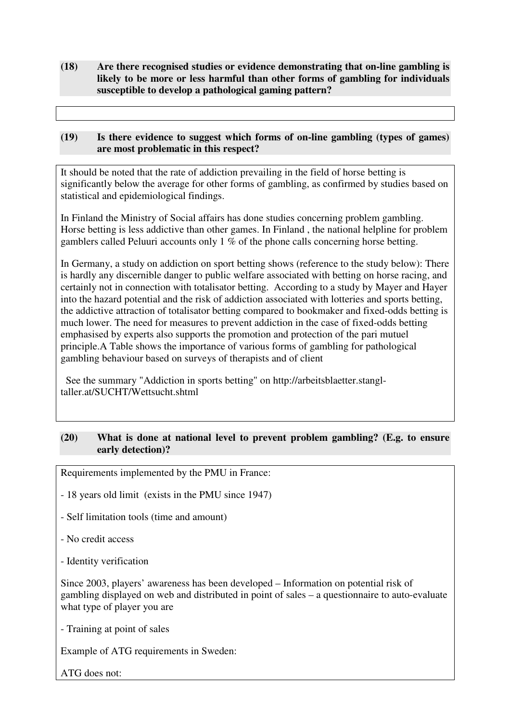**(18) Are there recognised studies or evidence demonstrating that on-line gambling is likely to be more or less harmful than other forms of gambling for individuals susceptible to develop a pathological gaming pattern?** 

## **(19) Is there evidence to suggest which forms of on-line gambling (types of games) are most problematic in this respect?**

It should be noted that the rate of addiction prevailing in the field of horse betting is significantly below the average for other forms of gambling, as confirmed by studies based on statistical and epidemiological findings.

In Finland the Ministry of Social affairs has done studies concerning problem gambling. Horse betting is less addictive than other games. In Finland , the national helpline for problem gamblers called Peluuri accounts only 1 % of the phone calls concerning horse betting.

In Germany, a study on addiction on sport betting shows (reference to the study below): There is hardly any discernible danger to public welfare associated with betting on horse racing, and certainly not in connection with totalisator betting. According to a study by Mayer and Hayer into the hazard potential and the risk of addiction associated with lotteries and sports betting, the addictive attraction of totalisator betting compared to bookmaker and fixed-odds betting is much lower. The need for measures to prevent addiction in the case of fixed-odds betting emphasised by experts also supports the promotion and protection of the pari mutuel principle.A Table shows the importance of various forms of gambling for pathological gambling behaviour based on surveys of therapists and of client

 See the summary "Addiction in sports betting" on http://arbeitsblaetter.stangltaller.at/SUCHT/Wettsucht.shtml

# **(20) What is done at national level to prevent problem gambling? (E.g. to ensure early detection)?**

Requirements implemented by the PMU in France:

- 18 years old limit (exists in the PMU since 1947)
- Self limitation tools (time and amount)

- No credit access

- Identity verification

Since 2003, players' awareness has been developed – Information on potential risk of gambling displayed on web and distributed in point of sales – a questionnaire to auto-evaluate what type of player you are

- Training at point of sales

Example of ATG requirements in Sweden:

ATG does not: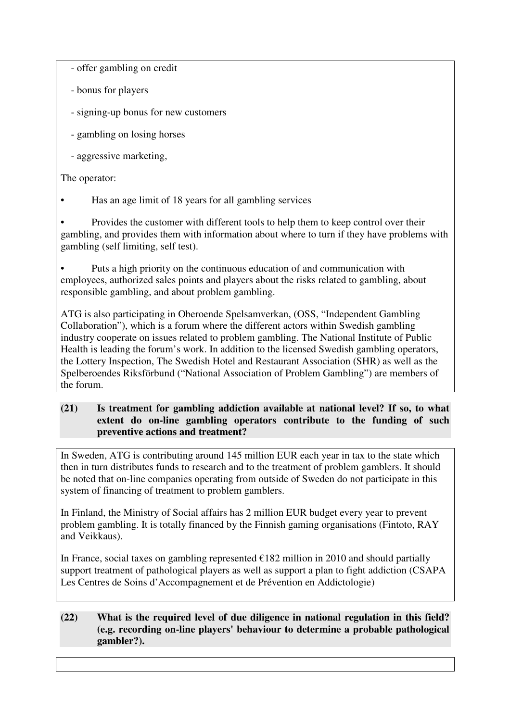- offer gambling on credit

- bonus for players
- signing-up bonus for new customers
- gambling on losing horses
- aggressive marketing,

# The operator:

• Has an age limit of 18 years for all gambling services

• Provides the customer with different tools to help them to keep control over their gambling, and provides them with information about where to turn if they have problems with gambling (self limiting, self test).

• Puts a high priority on the continuous education of and communication with employees, authorized sales points and players about the risks related to gambling, about responsible gambling, and about problem gambling.

ATG is also participating in Oberoende Spelsamverkan, (OSS, "Independent Gambling Collaboration"), which is a forum where the different actors within Swedish gambling industry cooperate on issues related to problem gambling. The National Institute of Public Health is leading the forum's work. In addition to the licensed Swedish gambling operators, the Lottery Inspection, The Swedish Hotel and Restaurant Association (SHR) as well as the Spelberoendes Riksförbund ("National Association of Problem Gambling") are members of the forum.

# **(21) Is treatment for gambling addiction available at national level? If so, to what extent do on-line gambling operators contribute to the funding of such preventive actions and treatment?**

In Sweden, ATG is contributing around 145 million EUR each year in tax to the state which then in turn distributes funds to research and to the treatment of problem gamblers. It should be noted that on-line companies operating from outside of Sweden do not participate in this system of financing of treatment to problem gamblers.

In Finland, the Ministry of Social affairs has 2 million EUR budget every year to prevent problem gambling. It is totally financed by the Finnish gaming organisations (Fintoto, RAY and Veikkaus).

In France, social taxes on gambling represented  $\epsilon$ 182 million in 2010 and should partially support treatment of pathological players as well as support a plan to fight addiction (CSAPA Les Centres de Soins d'Accompagnement et de Prévention en Addictologie)

# **(22) What is the required level of due diligence in national regulation in this field? (e.g. recording on-line players' behaviour to determine a probable pathological gambler?).**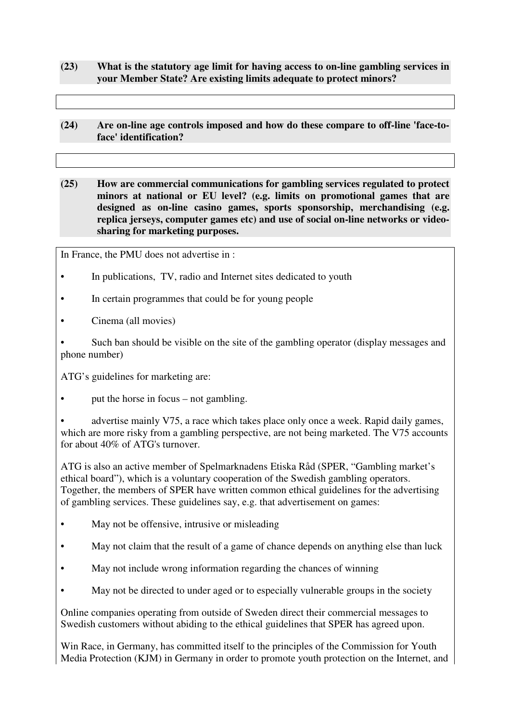- **(23) What is the statutory age limit for having access to on-line gambling services in your Member State? Are existing limits adequate to protect minors?**
- **(24) Are on-line age controls imposed and how do these compare to off-line 'face-toface' identification?**
- **(25) How are commercial communications for gambling services regulated to protect minors at national or EU level? (e.g. limits on promotional games that are designed as on-line casino games, sports sponsorship, merchandising (e.g. replica jerseys, computer games etc) and use of social on-line networks or videosharing for marketing purposes.**

In France, the PMU does not advertise in :

- In publications, TV, radio and Internet sites dedicated to youth
- In certain programmes that could be for young people
- Cinema (all movies)

• Such ban should be visible on the site of the gambling operator (display messages and phone number)

ATG's guidelines for marketing are:

• put the horse in focus – not gambling.

advertise mainly V75, a race which takes place only once a week. Rapid daily games, which are more risky from a gambling perspective, are not being marketed. The V75 accounts for about 40% of ATG's turnover.

ATG is also an active member of Spelmarknadens Etiska Råd (SPER, "Gambling market's ethical board"), which is a voluntary cooperation of the Swedish gambling operators. Together, the members of SPER have written common ethical guidelines for the advertising of gambling services. These guidelines say, e.g. that advertisement on games:

- May not be offensive, intrusive or misleading
- May not claim that the result of a game of chance depends on anything else than luck
- May not include wrong information regarding the chances of winning
- May not be directed to under aged or to especially vulnerable groups in the society

Online companies operating from outside of Sweden direct their commercial messages to Swedish customers without abiding to the ethical guidelines that SPER has agreed upon.

Win Race, in Germany, has committed itself to the principles of the Commission for Youth Media Protection (KJM) in Germany in order to promote youth protection on the Internet, and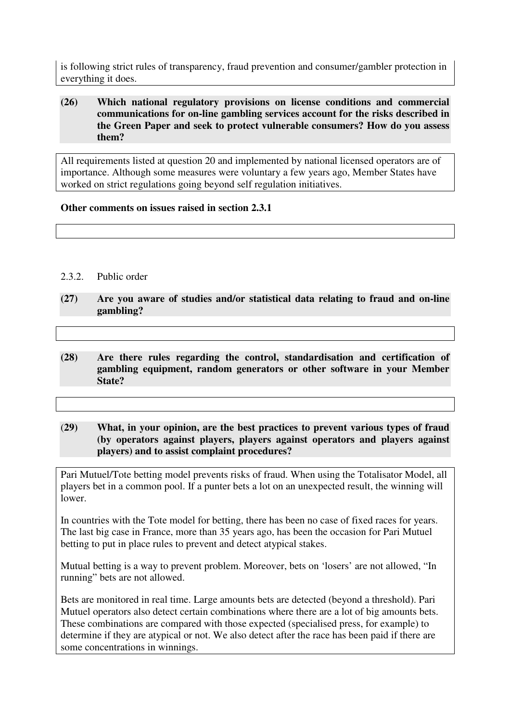is following strict rules of transparency, fraud prevention and consumer/gambler protection in everything it does.

### **(26) Which national regulatory provisions on license conditions and commercial communications for on-line gambling services account for the risks described in the Green Paper and seek to protect vulnerable consumers? How do you assess them?**

All requirements listed at question 20 and implemented by national licensed operators are of importance. Although some measures were voluntary a few years ago, Member States have worked on strict regulations going beyond self regulation initiatives.

## **Other comments on issues raised in section 2.3.1**

- 2.3.2. Public order
- **(27) Are you aware of studies and/or statistical data relating to fraud and on-line gambling?**
- **(28) Are there rules regarding the control, standardisation and certification of gambling equipment, random generators or other software in your Member State?**
- (**29) What, in your opinion, are the best practices to prevent various types of fraud (by operators against players, players against operators and players against players) and to assist complaint procedures?**

Pari Mutuel/Tote betting model prevents risks of fraud. When using the Totalisator Model, all players bet in a common pool. If a punter bets a lot on an unexpected result, the winning will lower.

In countries with the Tote model for betting, there has been no case of fixed races for years. The last big case in France, more than 35 years ago, has been the occasion for Pari Mutuel betting to put in place rules to prevent and detect atypical stakes.

Mutual betting is a way to prevent problem. Moreover, bets on 'losers' are not allowed, "In running" bets are not allowed.

Bets are monitored in real time. Large amounts bets are detected (beyond a threshold). Pari Mutuel operators also detect certain combinations where there are a lot of big amounts bets. These combinations are compared with those expected (specialised press, for example) to determine if they are atypical or not. We also detect after the race has been paid if there are some concentrations in winnings.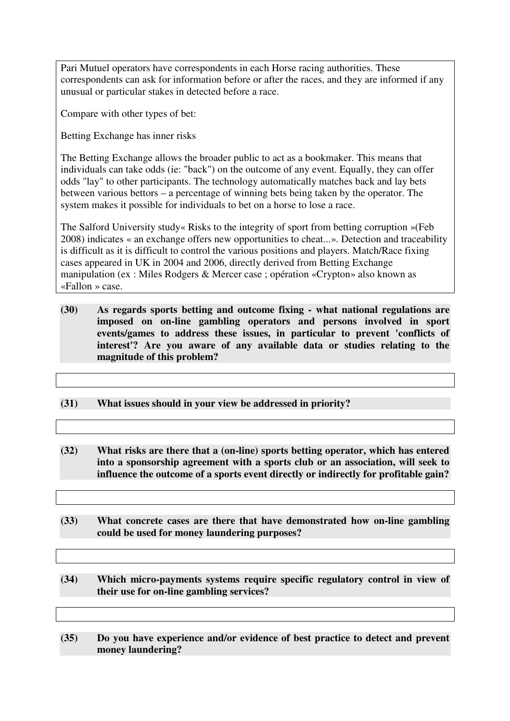Pari Mutuel operators have correspondents in each Horse racing authorities. These correspondents can ask for information before or after the races, and they are informed if any unusual or particular stakes in detected before a race.

Compare with other types of bet:

Betting Exchange has inner risks

The Betting Exchange allows the broader public to act as a bookmaker. This means that individuals can take odds (ie: "back") on the outcome of any event. Equally, they can offer odds "lay" to other participants. The technology automatically matches back and lay bets between various bettors – a percentage of winning bets being taken by the operator. The system makes it possible for individuals to bet on a horse to lose a race.

The Salford University study« Risks to the integrity of sport from betting corruption »(Feb 2008) indicates « an exchange offers new opportunities to cheat...». Detection and traceability is difficult as it is difficult to control the various positions and players. Match/Race fixing cases appeared in UK in 2004 and 2006, directly derived from Betting Exchange manipulation (ex : Miles Rodgers & Mercer case ; opération «Crypton» also known as «Fallon » case.

- **(30) As regards sports betting and outcome fixing what national regulations are imposed on on-line gambling operators and persons involved in sport events/games to address these issues, in particular to prevent 'conflicts of interest'? Are you aware of any available data or studies relating to the magnitude of this problem?**
- **(31) What issues should in your view be addressed in priority?**
- **(32) What risks are there that a (on-line) sports betting operator, which has entered into a sponsorship agreement with a sports club or an association, will seek to influence the outcome of a sports event directly or indirectly for profitable gain?**
- **(33) What concrete cases are there that have demonstrated how on-line gambling could be used for money laundering purposes?**
- **(34) Which micro-payments systems require specific regulatory control in view of their use for on-line gambling services?**
- **(35) Do you have experience and/or evidence of best practice to detect and prevent money laundering?**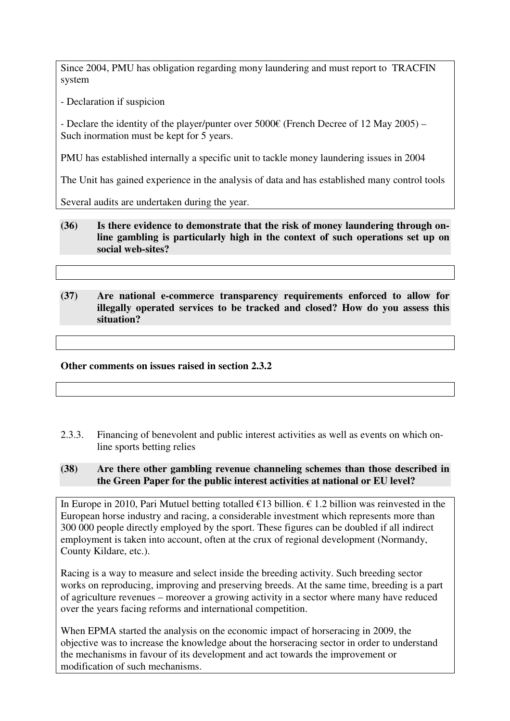Since 2004, PMU has obligation regarding mony laundering and must report to TRACFIN system

- Declaration if suspicion

- Declare the identity of the player/punter over  $5000\epsilon$  (French Decree of 12 May 2005) – Such inormation must be kept for 5 years.

PMU has established internally a specific unit to tackle money laundering issues in 2004

The Unit has gained experience in the analysis of data and has established many control tools

Several audits are undertaken during the year.

- **(36) Is there evidence to demonstrate that the risk of money laundering through online gambling is particularly high in the context of such operations set up on social web-sites?**
- **(37) Are national e-commerce transparency requirements enforced to allow for illegally operated services to be tracked and closed? How do you assess this situation?**

**Other comments on issues raised in section 2.3.2**

2.3.3. Financing of benevolent and public interest activities as well as events on which online sports betting relies

## **(38) Are there other gambling revenue channeling schemes than those described in the Green Paper for the public interest activities at national or EU level?**

In Europe in 2010, Pari Mutuel betting totalled  $\epsilon$ 13 billion.  $\epsilon$  1.2 billion was reinvested in the European horse industry and racing, a considerable investment which represents more than 300 000 people directly employed by the sport. These figures can be doubled if all indirect employment is taken into account, often at the crux of regional development (Normandy, County Kildare, etc.).

Racing is a way to measure and select inside the breeding activity. Such breeding sector works on reproducing, improving and preserving breeds. At the same time, breeding is a part of agriculture revenues – moreover a growing activity in a sector where many have reduced over the years facing reforms and international competition.

When EPMA started the analysis on the economic impact of horseracing in 2009, the objective was to increase the knowledge about the horseracing sector in order to understand the mechanisms in favour of its development and act towards the improvement or modification of such mechanisms.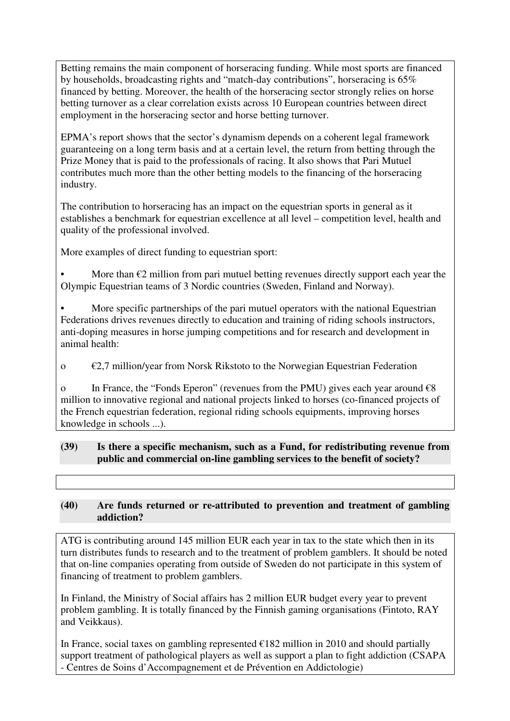Betting remains the main component of horseracing funding. While most sports are financed by households, broadcasting rights and "match-day contributions", horseracing is 65% financed by betting. Moreover, the health of the horseracing sector strongly relies on horse betting turnover as a clear correlation exists across 10 European countries between direct employment in the horseracing sector and horse betting turnover.

EPMA's report shows that the sector's dynamism depends on a coherent legal framework guaranteeing on a long term basis and at a certain level, the return from betting through the Prize Money that is paid to the professionals of racing. It also shows that Pari Mutuel contributes much more than the other betting models to the financing of the horseracing industry.

The contribution to horseracing has an impact on the equestrian sports in general as it establishes a benchmark for equestrian excellence at all level – competition level, health and quality of the professional involved.

More examples of direct funding to equestrian sport:

More than  $\epsilon$ 2 million from pari mutuel betting revenues directly support each year the Olympic Equestrian teams of 3 Nordic countries (Sweden, Finland and Norway).

More specific partnerships of the pari mutuel operators with the national Equestrian Federations drives revenues directly to education and training of riding schools instructors, anti-doping measures in horse jumping competitions and for research and development in animal health:

o  $\epsilon$ 2,7 million/year from Norsk Rikstoto to the Norwegian Equestrian Federation

o In France, the "Fonds Eperon" (revenues from the PMU) gives each year around  $\epsilon$ 8 million to innovative regional and national projects linked to horses (co-financed projects of the French equestrian federation, regional riding schools equipments, improving horses knowledge in schools ...).

# **(39) Is there a specific mechanism, such as a Fund, for redistributing revenue from public and commercial on-line gambling services to the benefit of society?**

# **(40) Are funds returned or re-attributed to prevention and treatment of gambling addiction?**

ATG is contributing around 145 million EUR each year in tax to the state which then in its turn distributes funds to research and to the treatment of problem gamblers. It should be noted that on-line companies operating from outside of Sweden do not participate in this system of financing of treatment to problem gamblers.

In Finland, the Ministry of Social affairs has 2 million EUR budget every year to prevent problem gambling. It is totally financed by the Finnish gaming organisations (Fintoto, RAY and Veikkaus).

In France, social taxes on gambling represented  $\epsilon$ 182 million in 2010 and should partially support treatment of pathological players as well as support a plan to fight addiction (CSAPA - Centres de Soins d'Accompagnement et de Prévention en Addictologie)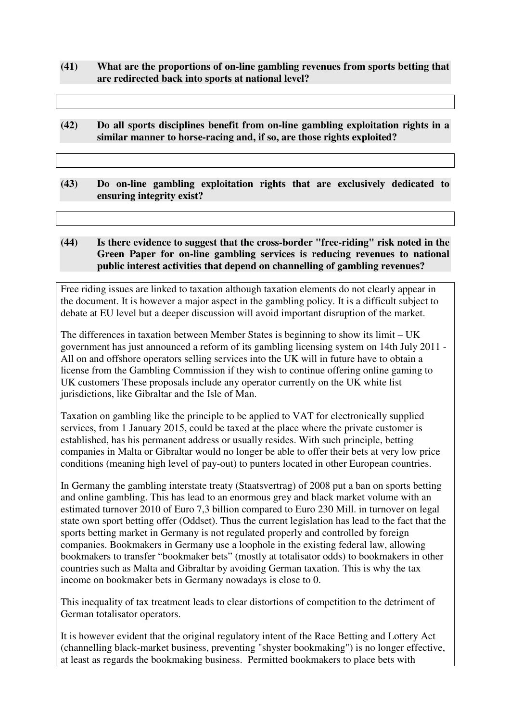- **(41) What are the proportions of on-line gambling revenues from sports betting that are redirected back into sports at national level?**
- **(42) Do all sports disciplines benefit from on-line gambling exploitation rights in a similar manner to horse-racing and, if so, are those rights exploited?**
- **(43) Do on-line gambling exploitation rights that are exclusively dedicated to ensuring integrity exist?**

# **(44) Is there evidence to suggest that the cross-border "free-riding" risk noted in the Green Paper for on-line gambling services is reducing revenues to national public interest activities that depend on channelling of gambling revenues?**

Free riding issues are linked to taxation although taxation elements do not clearly appear in the document. It is however a major aspect in the gambling policy. It is a difficult subject to debate at EU level but a deeper discussion will avoid important disruption of the market.

The differences in taxation between Member States is beginning to show its limit – UK government has just announced a reform of its gambling licensing system on 14th July 2011 - All on and offshore operators selling services into the UK will in future have to obtain a license from the Gambling Commission if they wish to continue offering online gaming to UK customers These proposals include any operator currently on the UK white list jurisdictions, like Gibraltar and the Isle of Man.

Taxation on gambling like the principle to be applied to VAT for electronically supplied services, from 1 January 2015, could be taxed at the place where the private customer is established, has his permanent address or usually resides. With such principle, betting companies in Malta or Gibraltar would no longer be able to offer their bets at very low price conditions (meaning high level of pay-out) to punters located in other European countries.

In Germany the gambling interstate treaty (Staatsvertrag) of 2008 put a ban on sports betting and online gambling. This has lead to an enormous grey and black market volume with an estimated turnover 2010 of Euro 7,3 billion compared to Euro 230 Mill. in turnover on legal state own sport betting offer (Oddset). Thus the current legislation has lead to the fact that the sports betting market in Germany is not regulated properly and controlled by foreign companies. Bookmakers in Germany use a loophole in the existing federal law, allowing bookmakers to transfer "bookmaker bets" (mostly at totalisator odds) to bookmakers in other countries such as Malta and Gibraltar by avoiding German taxation. This is why the tax income on bookmaker bets in Germany nowadays is close to 0.

This inequality of tax treatment leads to clear distortions of competition to the detriment of German totalisator operators.

It is however evident that the original regulatory intent of the Race Betting and Lottery Act (channelling black-market business, preventing "shyster bookmaking") is no longer effective, at least as regards the bookmaking business. Permitted bookmakers to place bets with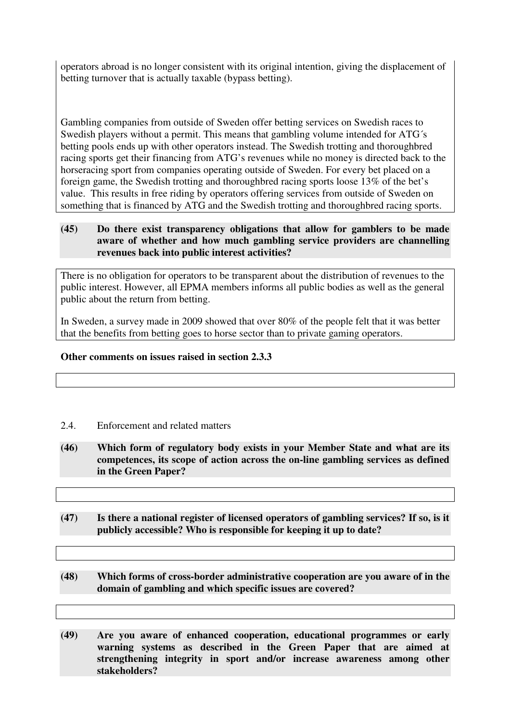operators abroad is no longer consistent with its original intention, giving the displacement of betting turnover that is actually taxable (bypass betting).

Gambling companies from outside of Sweden offer betting services on Swedish races to Swedish players without a permit. This means that gambling volume intended for ATG´s betting pools ends up with other operators instead. The Swedish trotting and thoroughbred racing sports get their financing from ATG's revenues while no money is directed back to the horseracing sport from companies operating outside of Sweden. For every bet placed on a foreign game, the Swedish trotting and thoroughbred racing sports loose 13% of the bet's value. This results in free riding by operators offering services from outside of Sweden on something that is financed by ATG and the Swedish trotting and thoroughbred racing sports.

## **(45) Do there exist transparency obligations that allow for gamblers to be made aware of whether and how much gambling service providers are channelling revenues back into public interest activities?**

There is no obligation for operators to be transparent about the distribution of revenues to the public interest. However, all EPMA members informs all public bodies as well as the general public about the return from betting.

In Sweden, a survey made in 2009 showed that over 80% of the people felt that it was better that the benefits from betting goes to horse sector than to private gaming operators.

### **Other comments on issues raised in section 2.3.3**

### 2.4. Enforcement and related matters

- **(46) Which form of regulatory body exists in your Member State and what are its competences, its scope of action across the on-line gambling services as defined in the Green Paper?**
- **(47) Is there a national register of licensed operators of gambling services? If so, is it publicly accessible? Who is responsible for keeping it up to date?**
- **(48) Which forms of cross-border administrative cooperation are you aware of in the domain of gambling and which specific issues are covered?**

**(49) Are you aware of enhanced cooperation, educational programmes or early warning systems as described in the Green Paper that are aimed at strengthening integrity in sport and/or increase awareness among other stakeholders?**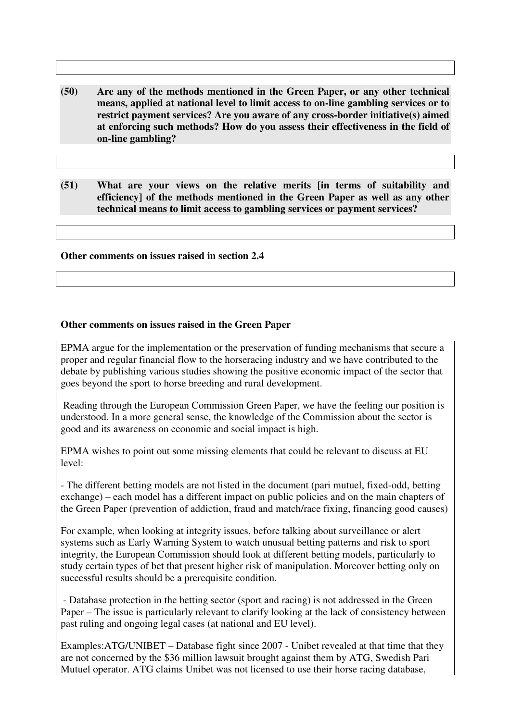- **(50) Are any of the methods mentioned in the Green Paper, or any other technical means, applied at national level to limit access to on-line gambling services or to restrict payment services? Are you aware of any cross-border initiative(s) aimed at enforcing such methods? How do you assess their effectiveness in the field of on-line gambling?**
- **(51) What are your views on the relative merits [in terms of suitability and efficiency] of the methods mentioned in the Green Paper as well as any other technical means to limit access to gambling services or payment services?**

#### **Other comments on issues raised in section 2.4**

### **Other comments on issues raised in the Green Paper**

EPMA argue for the implementation or the preservation of funding mechanisms that secure a proper and regular financial flow to the horseracing industry and we have contributed to the debate by publishing various studies showing the positive economic impact of the sector that goes beyond the sport to horse breeding and rural development.

 Reading through the European Commission Green Paper, we have the feeling our position is understood. In a more general sense, the knowledge of the Commission about the sector is good and its awareness on economic and social impact is high.

EPMA wishes to point out some missing elements that could be relevant to discuss at EU level:

- The different betting models are not listed in the document (pari mutuel, fixed-odd, betting exchange) – each model has a different impact on public policies and on the main chapters of the Green Paper (prevention of addiction, fraud and match/race fixing, financing good causes)

For example, when looking at integrity issues, before talking about surveillance or alert systems such as Early Warning System to watch unusual betting patterns and risk to sport integrity, the European Commission should look at different betting models, particularly to study certain types of bet that present higher risk of manipulation. Moreover betting only on successful results should be a prerequisite condition.

 - Database protection in the betting sector (sport and racing) is not addressed in the Green Paper – The issue is particularly relevant to clarify looking at the lack of consistency between past ruling and ongoing legal cases (at national and EU level).

Examples:ATG/UNIBET – Database fight since 2007 - Unibet revealed at that time that they are not concerned by the \$36 million lawsuit brought against them by ATG, Swedish Pari Mutuel operator. ATG claims Unibet was not licensed to use their horse racing database,